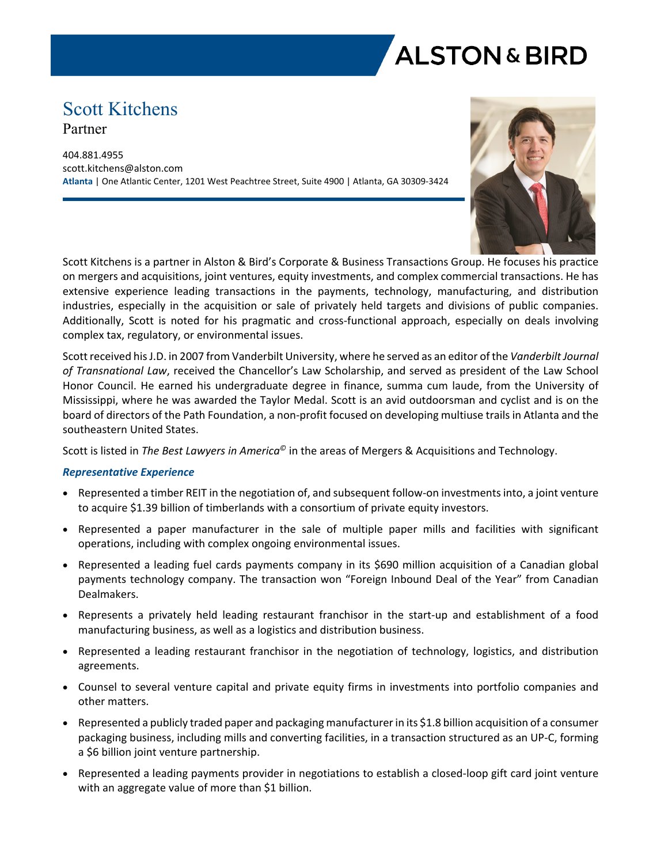

# Scott Kitchens Partner

404.881.4955 scott.kitchens@alston.com **Atlanta** | One Atlantic Center, 1201 West Peachtree Street, Suite 4900 | Atlanta, GA 30309-3424



Scott Kitchens is a partner in Alston & Bird's Corporate & Business Transactions Group. He focuses his practice on mergers and acquisitions, joint ventures, equity investments, and complex commercial transactions. He has extensive experience leading transactions in the payments, technology, manufacturing, and distribution industries, especially in the acquisition or sale of privately held targets and divisions of public companies. Additionally, Scott is noted for his pragmatic and cross-functional approach, especially on deals involving complex tax, regulatory, or environmental issues.

Scott received his J.D. in 2007 from Vanderbilt University, where he served as an editor of the *Vanderbilt Journal of Transnational Law*, received the Chancellor's Law Scholarship, and served as president of the Law School Honor Council. He earned his undergraduate degree in finance, summa cum laude, from the University of Mississippi, where he was awarded the Taylor Medal. Scott is an avid outdoorsman and cyclist and is on the board of directors of the Path Foundation, a non-profit focused on developing multiuse trails in Atlanta and the southeastern United States.

Scott is listed in *The Best Lawyers in America©* in the areas of Mergers & Acquisitions and Technology.

## *Representative Experience*

- Represented a timber REIT in the negotiation of, and subsequent follow-on investments into, a joint venture to acquire \$1.39 billion of timberlands with a consortium of private equity investors.
- Represented a paper manufacturer in the sale of multiple paper mills and facilities with significant operations, including with complex ongoing environmental issues.
- Represented a leading fuel cards payments company in its \$690 million acquisition of a Canadian global payments technology company. The transaction won "Foreign Inbound Deal of the Year" from Canadian Dealmakers.
- Represents a privately held leading restaurant franchisor in the start-up and establishment of a food manufacturing business, as well as a logistics and distribution business.
- Represented a leading restaurant franchisor in the negotiation of technology, logistics, and distribution agreements.
- Counsel to several venture capital and private equity firms in investments into portfolio companies and other matters.
- Represented a publicly traded paper and packaging manufacturer in its \$1.8 billion acquisition of a consumer packaging business, including mills and converting facilities, in a transaction structured as an UP-C, forming a \$6 billion joint venture partnership.
- Represented a leading payments provider in negotiations to establish a closed-loop gift card joint venture with an aggregate value of more than \$1 billion.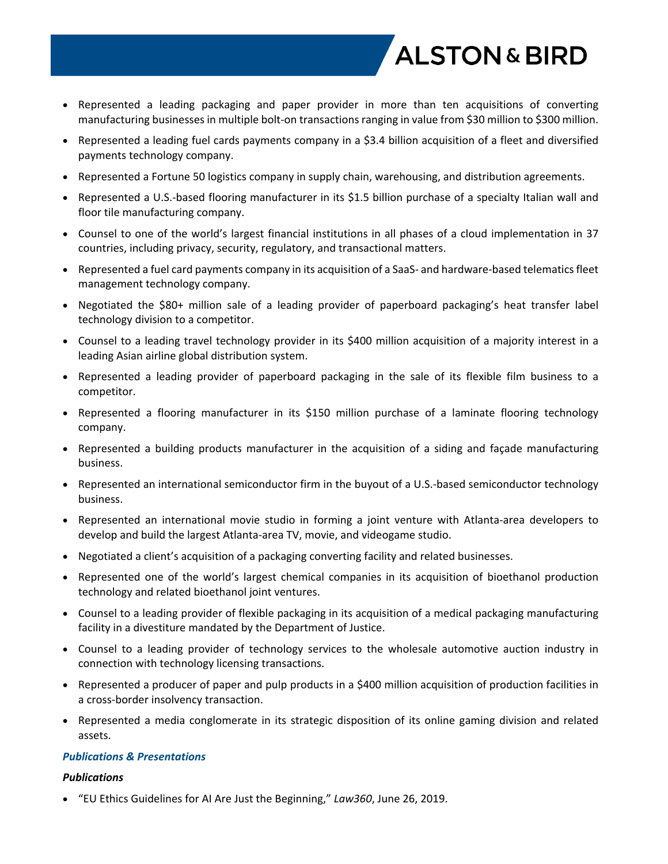

- Represented a leading packaging and paper provider in more than ten acquisitions of converting manufacturing businesses in multiple bolt-on transactions ranging in value from \$30 million to \$300 million.
- Represented a leading fuel cards payments company in a \$3.4 billion acquisition of a fleet and diversified payments technology company.
- Represented a Fortune 50 logistics company in supply chain, warehousing, and distribution agreements.
- Represented a U.S.-based flooring manufacturer in its \$1.5 billion purchase of a specialty Italian wall and floor tile manufacturing company.
- Counsel to one of the world's largest financial institutions in all phases of a cloud implementation in 37 countries, including privacy, security, regulatory, and transactional matters.
- Represented a fuel card payments company in its acquisition of a SaaS- and hardware-based telematics fleet management technology company.
- Negotiated the \$80+ million sale of a leading provider of paperboard packaging's heat transfer label technology division to a competitor.
- Counsel to a leading travel technology provider in its \$400 million acquisition of a majority interest in a leading Asian airline global distribution system.
- Represented a leading provider of paperboard packaging in the sale of its flexible film business to a competitor.
- Represented a flooring manufacturer in its \$150 million purchase of a laminate flooring technology company.
- Represented a building products manufacturer in the acquisition of a siding and façade manufacturing business.
- Represented an international semiconductor firm in the buyout of a U.S.-based semiconductor technology business.
- Represented an international movie studio in forming a joint venture with Atlanta-area developers to develop and build the largest Atlanta-area TV, movie, and videogame studio.
- Negotiated a client's acquisition of a packaging converting facility and related businesses.
- Represented one of the world's largest chemical companies in its acquisition of bioethanol production technology and related bioethanol joint ventures.
- Counsel to a leading provider of flexible packaging in its acquisition of a medical packaging manufacturing facility in a divestiture mandated by the Department of Justice.
- Counsel to a leading provider of technology services to the wholesale automotive auction industry in connection with technology licensing transactions.
- Represented a producer of paper and pulp products in a \$400 million acquisition of production facilities in a cross-border insolvency transaction.
- Represented a media conglomerate in its strategic disposition of its online gaming division and related assets.

#### *Publications & Presentations*

## *Publications*

"EU Ethics Guidelines for AI Are Just the Beginning," *Law360*, June 26, 2019.